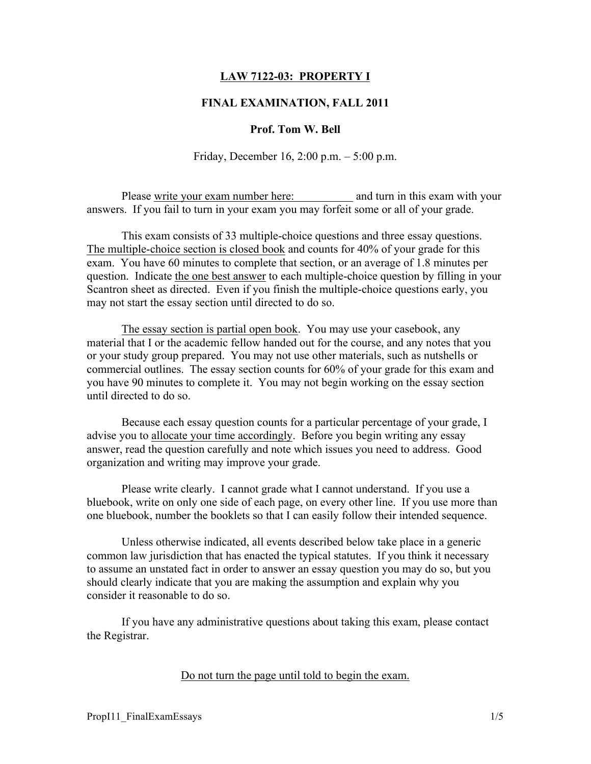## LAW 7122-03: PROPERTY I

### FINAL EXAMINATION, FALL 2011

#### Prof. Tom W. Bell

Friday, December 16, 2:00 p.m. – 5:00 p.m.

Please write your exam number here: and turn in this exam with your answers. If you fail to turn in your exam you may forfeit some or all of your grade.

This exam consists of 33 multiple-choice questions and three essay questions. The multiple-choice section is closed book and counts for 40% of your grade for this exam. You have 60 minutes to complete that section, or an average of 1.8 minutes per question. Indicate the one best answer to each multiple-choice question by filling in your Scantron sheet as directed. Even if you finish the multiple-choice questions early, you may not start the essay section until directed to do so.

The essay section is partial open book. You may use your casebook, any material that I or the academic fellow handed out for the course, and any notes that you or your study group prepared. You may not use other materials, such as nutshells or commercial outlines. The essay section counts for 60% of your grade for this exam and you have 90 minutes to complete it. You may not begin working on the essay section until directed to do so.

Because each essay question counts for a particular percentage of your grade, I advise you to allocate your time accordingly. Before you begin writing any essay answer, read the question carefully and note which issues you need to address. Good organization and writing may improve your grade.

Please write clearly. I cannot grade what I cannot understand. If you use a bluebook, write on only one side of each page, on every other line. If you use more than one bluebook, number the booklets so that I can easily follow their intended sequence.

Unless otherwise indicated, all events described below take place in a generic common law jurisdiction that has enacted the typical statutes. If you think it necessary to assume an unstated fact in order to answer an essay question you may do so, but you should clearly indicate that you are making the assumption and explain why you consider it reasonable to do so.

If you have any administrative questions about taking this exam, please contact the Registrar.

Do not turn the page until told to begin the exam.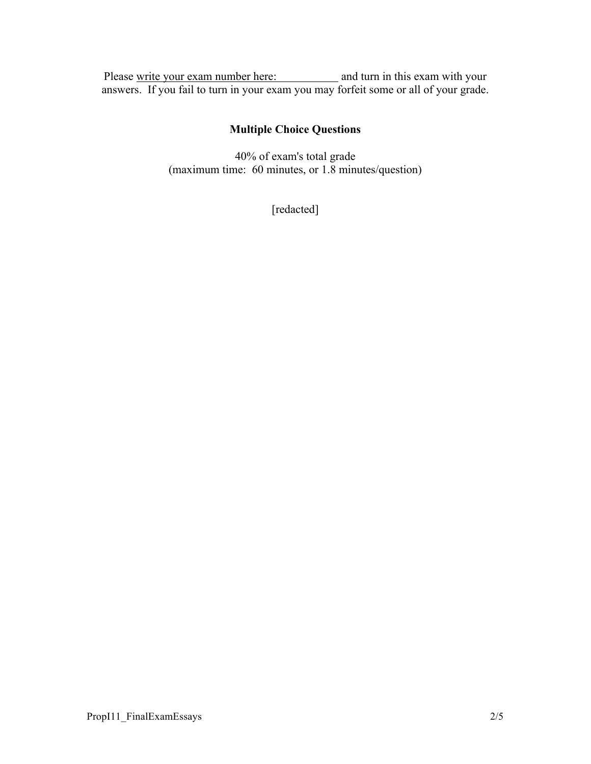Please write your exam number here: and turn in this exam with your answers. If you fail to turn in your exam you may forfeit some or all of your grade.

# Multiple Choice Questions

40% of exam's total grade (maximum time: 60 minutes, or 1.8 minutes/question)

[redacted]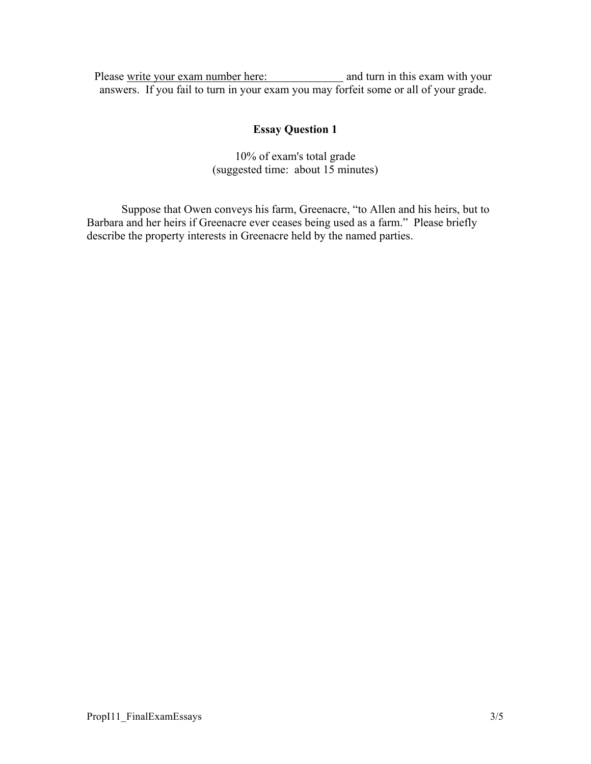Please write your exam number here: and turn in this exam with your answers. If you fail to turn in your exam you may forfeit some or all of your grade.

# Essay Question 1

10% of exam's total grade (suggested time: about 15 minutes)

Suppose that Owen conveys his farm, Greenacre, "to Allen and his heirs, but to Barbara and her heirs if Greenacre ever ceases being used as a farm." Please briefly describe the property interests in Greenacre held by the named parties.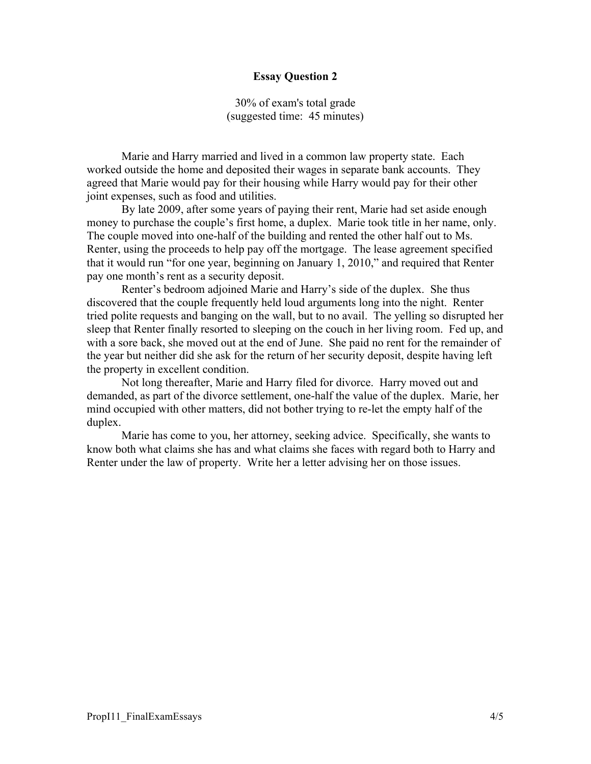### Essay Question 2

30% of exam's total grade (suggested time: 45 minutes)

Marie and Harry married and lived in a common law property state. Each worked outside the home and deposited their wages in separate bank accounts. They agreed that Marie would pay for their housing while Harry would pay for their other joint expenses, such as food and utilities.

By late 2009, after some years of paying their rent, Marie had set aside enough money to purchase the couple's first home, a duplex. Marie took title in her name, only. The couple moved into one-half of the building and rented the other half out to Ms. Renter, using the proceeds to help pay off the mortgage. The lease agreement specified that it would run "for one year, beginning on January 1, 2010," and required that Renter pay one month's rent as a security deposit.

Renter's bedroom adjoined Marie and Harry's side of the duplex. She thus discovered that the couple frequently held loud arguments long into the night. Renter tried polite requests and banging on the wall, but to no avail. The yelling so disrupted her sleep that Renter finally resorted to sleeping on the couch in her living room. Fed up, and with a sore back, she moved out at the end of June. She paid no rent for the remainder of the year but neither did she ask for the return of her security deposit, despite having left the property in excellent condition.

Not long thereafter, Marie and Harry filed for divorce. Harry moved out and demanded, as part of the divorce settlement, one-half the value of the duplex. Marie, her mind occupied with other matters, did not bother trying to re-let the empty half of the duplex.

Marie has come to you, her attorney, seeking advice. Specifically, she wants to know both what claims she has and what claims she faces with regard both to Harry and Renter under the law of property. Write her a letter advising her on those issues.